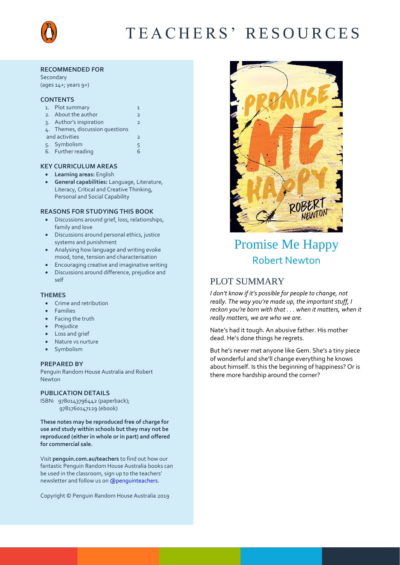

# T E A C H E R S ' R E S O U R C E S

#### **RECOMMENDED FOR**

Secondary (ages 14+; years 9+)

### **CONTENTS**

|                | 1. Plot summary                 |   |  |
|----------------|---------------------------------|---|--|
|                | 2. About the author             |   |  |
|                | 3. Author's inspiration         |   |  |
|                | 4. Themes, discussion questions |   |  |
| and activities |                                 |   |  |
|                | 5. Symbolism                    | 5 |  |
|                | 6. Further reading              |   |  |

#### **KEY CURRICULUM AREAS**

- **Learning areas:** English
- **General capabilities:** Language, Literature, Literacy, Critical and Creative Thinking, Personal and Social Capability

### **REASONS FOR STUDYING THIS BOOK**

- Discussions around grief, loss, relationships, family and love
- Discussions around personal ethics, justice systems and punishment
- Analysing how language and writing evoke mood, tone, tension and characterisation
- Encouraging creative and imaginative writing
- Discussions around difference, prejudice and self

#### **THEMES**

- Crime and retribution
- Families
- Facing the truth
- Prejudice
- Loss and grief
- Nature vs nurture
- Symbolism

#### **PREPARED BY**

Penguin Random House Australia and Robert Newton

#### **PUBLICATION DETAILS**

ISBN: 9780143796442 (paperback); 9781760147129 (ebook)

**These notes may be reproduced free of charge for use and study within schools but they may not be reproduced (either in whole or in part) and offered for commercial sale.**

Visit **[penguin.com.au/teachers](http://www.penguin.com.au/teachers)** to find out how our fantastic Penguin Random House Australia books can be used in the classroom, sign up to the teachers' newsletter and follow us o[n @penguinteachers.](http://twitter.com/penguinteachers)

Copyright © Penguin Random House Australia 2019



# Promise Me Happy Robert Newton

# PLOT SUMMARY

*I don't know if it's possible for people to change, not really. The way you're made up, the important stuff, I reckon you're born with that . . . when it matters, when it really matters, we are who we are.*

Nate's had it tough. An abusive father. His mother dead. He's done things he regrets.

But he's never met anyone like Gem. She's a tiny piece of wonderful and she'll change everything he knows about himself. Is this the beginning of happiness? Or is there more hardship around the corner?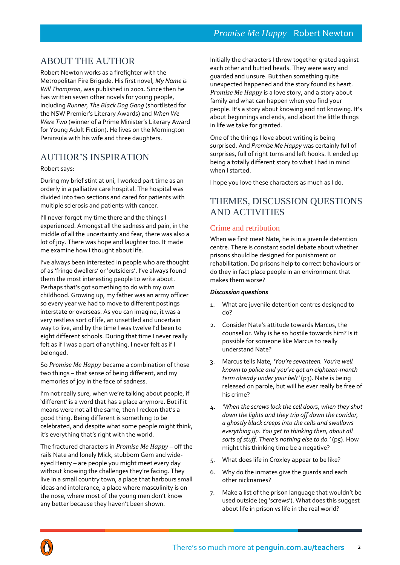# ABOUT THE AUTHOR

Robert Newton works as a firefighter with the Metropolitan Fire Brigade. His first novel, *My Name is Will Thompson*, was published in 2001. Since then he has written seven other novels for young people, including *Runner*, *The Black Dog Gang* (shortlisted for the NSW Premier's Literary Awards) and *When We Were Two* (winner of a Prime Minister's Literary Award for Young Adult Fiction). He lives on the Mornington Peninsula with his wife and three daughters.

# AUTHOR'S INSPIRATION

### Robert says:

During my brief stint at uni, I worked part time as an orderly in a palliative care hospital. The hospital was divided into two sections and cared for patients with multiple sclerosis and patients with cancer.

I'll never forget my time there and the things I experienced. Amongst all the sadness and pain, in the middle of all the uncertainty and fear, there was also a lot of joy. There was hope and laughter too. It made me examine how I thought about life.

I've always been interested in people who are thought of as 'fringe dwellers' or 'outsiders'. I've always found them the most interesting people to write about. Perhaps that's got something to do with my own childhood. Growing up, my father was an army officer so every year we had to move to different postings interstate or overseas. As you can imagine, it was a very restless sort of life, an unsettled and uncertain way to live, and by the time I was twelve I'd been to eight different schools. During that time I never really felt as if I was a part of anything. I never felt as if I belonged.

So *Promise Me Happy* became a combination of those two things – that sense of being different, and my memories of joy in the face of sadness.

I'm not really sure, when we're talking about people, if 'different' is a word that has a place anymore. But if it means were not all the same, then I reckon that's a good thing. Being different is something to be celebrated, and despite what some people might think, it's everything that's right with the world.

The fractured characters in *Promise Me Happy* – off the rails Nate and lonely Mick, stubborn Gem and wideeyed Henry – are people you might meet every day without knowing the challenges they're facing. They live in a small country town, a place that harbours small ideas and intolerance, a place where masculinity is on the nose, where most of the young men don't know any better because they haven't been shown.

Initially the characters I threw together grated against each other and butted heads. They were wary and guarded and unsure. But then something quite unexpected happened and the story found its heart. *Promise Me Happy* is a love story, and a story about family and what can happen when you find your people. It's a story about knowing and not knowing. It's about beginnings and ends, and about the little things in life we take for granted.

One of the things I love about writing is being surprised. And *Promise Me Happy* was certainly full of surprises, full of right turns and left hooks. It ended up being a totally different story to what I had in mind when I started.

I hope you love these characters as much as I do.

# THEMES, DISCUSSION QUESTIONS AND ACTIVITIES

# Crime and retribution

When we first meet Nate, he is in a juvenile detention centre. There is constant social debate about whether prisons should be designed for punishment or rehabilitation. Do prisons help to correct behaviours or do they in fact place people in an environment that makes them worse?

- 1. What are juvenile detention centres designed to do?
- 2. Consider Nate's attitude towards Marcus, the counsellor. Why is he so hostile towards him? Is it possible for someone like Marcus to really understand Nate?
- 3. Marcus tells Nate, *'You're seventeen. You're well known to police and you've got an eighteen-month term already under your belt'* (p3). Nate is being released on parole, but will he ever really be free of his crime?
- 4. *'When the screws lock the cell doors, when they shut down the lights and they trip off down the corridor, a ghostly black creeps into the cells and swallows everything up. You get to thinking then, about all sorts of stuff. There's nothing else to do.'* (p5). How might this thinking time be a negative?
- 5. What does life in Croxley appear to be like?
- 6. Why do the inmates give the guards and each other nicknames?
- 7. Make a list of the prison language that wouldn't be used outside (eg 'screws'). What does this suggest about life in prison vs life in the real world?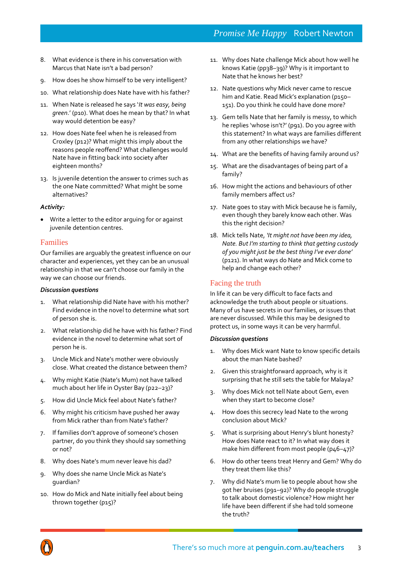# *Promise Me Happy* Robert Newton

- 8. What evidence is there in his conversation with Marcus that Nate isn't a bad person?
- 9. How does he show himself to be very intelligent?
- 10. What relationship does Nate have with his father?
- 11. When Nate is released he says '*It was easy, being green*.' (p10). What does he mean by that? In what way would detention be easy?
- 12. How does Nate feel when he is released from Croxley (p12)? What might this imply about the reasons people reoffend? What challenges would Nate have in fitting back into society after eighteen months?
- 13. Is juvenile detention the answer to crimes such as the one Nate committed? What might be some alternatives?

### *Activity:*

 Write a letter to the editor arguing for or against juvenile detention centres.

### Families

Our families are arguably the greatest influence on our character and experiences, yet they can be an unusual relationship in that we can't choose our family in the way we can choose our friends.

### *Discussion questions*

- 1. What relationship did Nate have with his mother? Find evidence in the novel to determine what sort of person she is.
- 2. What relationship did he have with his father? Find evidence in the novel to determine what sort of person he is.
- 3. Uncle Mick and Nate's mother were obviously close. What created the distance between them?
- 4. Why might Katie (Nate's Mum) not have talked much about her life in Oyster Bay (p22–23)?
- 5. How did Uncle Mick feel about Nate's father?
- 6. Why might his criticism have pushed her away from Mick rather than from Nate's father?
- 7. If families don't approve of someone's chosen partner, do you think they should say something or not?
- 8. Why does Nate's mum never leave his dad?
- 9. Why does she name Uncle Mick as Nate's guardian?
- 10. How do Mick and Nate initially feel about being thrown together (p15)?
- 11. Why does Nate challenge Mick about how well he knows Katie (pp38–39)? Why is it important to Nate that he knows her best?
- 12. Nate questions why Mick never came to rescue him and Katie. Read Mick's explanation (p150-151). Do you think he could have done more?
- 13. Gem tells Nate that her family is messy, to which he replies 'whose isn't?' (p91). Do you agree with this statement? In what ways are families different from any other relationships we have?
- 14. What are the benefits of having family around us?
- 15. What are the disadvantages of being part of a family?
- 16. How might the actions and behaviours of other family members affect us?
- 17. Nate goes to stay with Mick because he is family, even though they barely know each other. Was this the right decision?
- 18. Mick tells Nate, *'It might not have been my idea, Nate. But I'm starting to think that getting custody of you might just be the best thing I've ever done'* (p121). In what ways do Nate and Mick come to help and change each other?

### Facing the truth

In life it can be very difficult to face facts and acknowledge the truth about people or situations. Many of us have secrets in our families, or issues that are never discussed. While this may be designed to protect us, in some ways it can be very harmful.

- 1. Why does Mick want Nate to know specific details about the man Nate bashed?
- 2. Given this straightforward approach, why is it surprising that he still sets the table for Malaya?
- 3. Why does Mick not tell Nate about Gem, even when they start to become close?
- 4. How does this secrecy lead Nate to the wrong conclusion about Mick?
- 5. What is surprising about Henry's blunt honesty? How does Nate react to it? In what way does it make him different from most people (p46-47)?
- 6. How do other teens treat Henry and Gem? Why do they treat them like this?
- 7. Why did Nate's mum lie to people about how she got her bruises (p91–92)? Why do people struggle to talk about domestic violence? How might her life have been different if she had told someone the truth?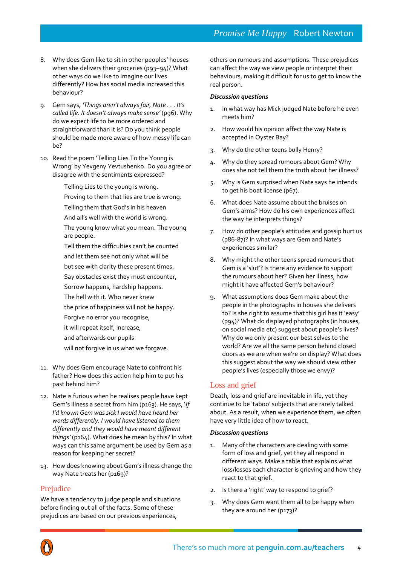- 8. Why does Gem like to sit in other peoples' houses when she delivers their groceries (p93-94)? What other ways do we like to imagine our lives differently? How has social media increased this behaviour?
- 9. Gem says, *'Things aren't always fair, Nate . . . It's*  called life. It doesn't always make sense' (p96). Why do we expect life to be more ordered and straightforward than it is? Do you think people should be made more aware of how messy life can be?
- 10. Read the poem 'Telling Lies To the Young is Wrong' by Yevgeny Yevtushenko. Do you agree or disagree with the sentiments expressed?
	- Telling Lies to the young is wrong. Proving to them that lies are true is wrong. Telling them that God's in his heaven And all's well with the world is wrong.
	- The young know what you mean. The young are people.
	- Tell them the difficulties can't be counted and let them see not only what will be
	- but see with clarity these present times.
	- Say obstacles exist they must encounter,
	- Sorrow happens, hardship happens.
	- The hell with it. Who never knew
	- the price of happiness will not be happy.
	- Forgive no error you recognise,
	- it will repeat itself, increase,
	- and afterwards our pupils
	- will not forgive in us what we forgave.
- 11. Why does Gem encourage Nate to confront his father? How does this action help him to put his past behind him?
- 12. Nate is furious when he realises people have kept Gem's illness a secret from him (p163). He says, '*If I'd known Gem was sick I would have heard her words differently. I would have listened to them differently and they would have meant different things'* (p164). What does he mean by this? In what ways can this same argument be used by Gem as a reason for keeping her secret?
- 13. How does knowing about Gem's illness change the way Nate treats her (p169)?

## Prejudice

We have a tendency to judge people and situations before finding out all of the facts. Some of these prejudices are based on our previous experiences,

others on rumours and assumptions. These prejudices can affect the way we view people or interpret their behaviours, making it difficult for us to get to know the real person.

### *Discussion questions*

- 1. In what way has Mick judged Nate before he even meets him?
- 2. How would his opinion affect the way Nate is accepted in Oyster Bay?
- 3. Why do the other teens bully Henry?
- 4. Why do they spread rumours about Gem? Why does she not tell them the truth about her illness?
- 5. Why is Gem surprised when Nate says he intends to get his boat license (p67).
- 6. What does Nate assume about the bruises on Gem's arms? How do his own experiences affect the way he interprets things?
- 7. How do other people's attitudes and gossip hurt us (p86-87)? In what ways are Gem and Nate's experiences similar?
- 8. Why might the other teens spread rumours that Gem is a 'slut'? Is there any evidence to support the rumours about her? Given her illness, how might it have affected Gem's behaviour?
- 9. What assumptions does Gem make about the people in the photographs in houses she delivers to? Is she right to assume that this girl has it 'easy' (p94)? What do displayed photographs (in houses, on social media etc) suggest about people's lives? Why do we only present our best selves to the world? Are we all the same person behind closed doors as we are when we're on display? What does this suggest about the way we should view other people's lives (especially those we envy)?

## Loss and grief

Death, loss and grief are inevitable in life, yet they continue to be 'taboo' subjects that are rarely talked about. As a result, when we experience them, we often have very little idea of how to react.

- 1. Many of the characters are dealing with some form of loss and grief, yet they all respond in different ways. Make a table that explains what loss/losses each character is grieving and how they react to that grief.
- 2. Is there a 'right' way to respond to grief?
- 3. Why does Gem want them all to be happy when they are around her (p173)?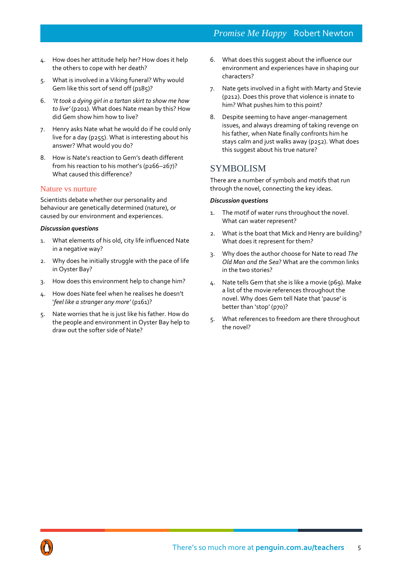- 4. How does her attitude help her? How does it help the others to cope with her death?
- 5. What is involved in a Viking funeral? Why would Gem like this sort of send off (p185)?
- 6. *'It took a dying girl in a tartan skirt to show me how to live'* (p201). What does Nate mean by this? How did Gem show him how to live?
- 7. Henry asks Nate what he would do if he could only live for a day (p255). What is interesting about his answer? What would you do?
- 8. How is Nate's reaction to Gem's death different from his reaction to his mother's (p266–267)? What caused this difference?

### Nature vs nurture

Scientists debate whether our personality and behaviour are genetically determined (nature), or caused by our environment and experiences.

### *Discussion questions*

- 1. What elements of his old, city life influenced Nate in a negative way?
- 2. Why does he initially struggle with the pace of life in Oyster Bay?
- 3. How does this environment help to change him?
- 4. How does Nate feel when he realises he doesn't '*feel like a stranger any more'* (p161)?
- 5. Nate worries that he is just like his father. How do the people and environment in Oyster Bay help to draw out the softer side of Nate?
- 6. What does this suggest about the influence our environment and experiences have in shaping our characters?
- 7. Nate gets involved in a fight with Marty and Stevie (p212). Does this prove that violence is innate to him? What pushes him to this point?
- 8. Despite seeming to have anger-management issues, and always dreaming of taking revenge on his father, when Nate finally confronts him he stays calm and just walks away (p252). What does this suggest about his true nature?

# SYMBOLISM

There are a number of symbols and motifs that run through the novel, connecting the key ideas.

- 1. The motif of water runs throughout the novel. What can water represent?
- 2. What is the boat that Mick and Henry are building? What does it represent for them?
- 3. Why does the author choose for Nate to read *The Old Man and the Sea*? What are the common links in the two stories?
- 4. Nate tells Gem that she is like a movie (p69). Make a list of the movie references throughout the novel. Why does Gem tell Nate that 'pause' is better than 'stop' (p70)?
- 5. What references to freedom are there throughout the novel?